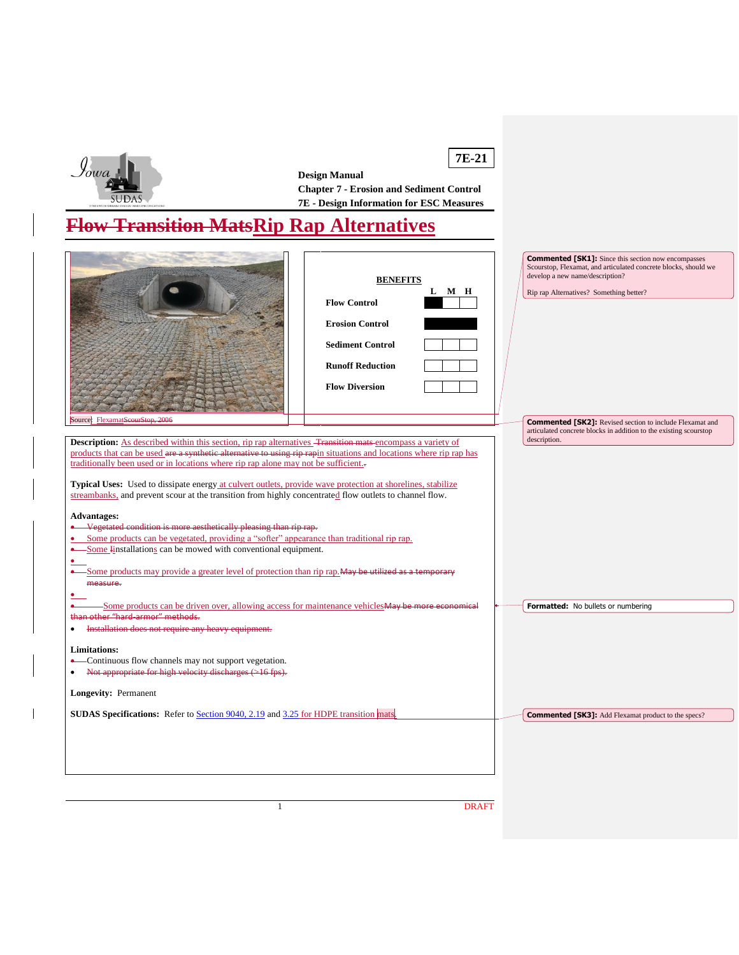

 $\overline{\phantom{a}}$ 

**7E-21 Design Manual Chapter 7 - Erosion and Sediment Control 7E - Design Information for ESC Measures**

# **Flow Transition MatsRip Rap Alternatives**

| Source: FlexamatScourStop, 2006<br><b>Description:</b> As described within this section, rip rap alternatives <del>Transition mats e</del> ncompass a variety of<br>products that can be used are a synthetic alternative to using rip rapin situations and locations where rip rap has                                                                                                                                                                                                                                                                                                                                 | <b>BENEFITS</b><br>L M H<br><b>Flow Control</b><br><b>Erosion Control</b><br><b>Sediment Control</b><br><b>Runoff Reduction</b><br><b>Flow Diversion</b> | <b>Commented [SK1]:</b> Since this section now encompasses<br>Scourstop, Flexamat, and articulated concrete blocks, should we<br>develop a new name/description?<br>Rip rap Alternatives? Something better?<br><b>Commented [SK2]:</b> Revised section to include Flexamat and<br>articulated concrete blocks in addition to the existing scourstop<br>description. |
|-------------------------------------------------------------------------------------------------------------------------------------------------------------------------------------------------------------------------------------------------------------------------------------------------------------------------------------------------------------------------------------------------------------------------------------------------------------------------------------------------------------------------------------------------------------------------------------------------------------------------|----------------------------------------------------------------------------------------------------------------------------------------------------------|---------------------------------------------------------------------------------------------------------------------------------------------------------------------------------------------------------------------------------------------------------------------------------------------------------------------------------------------------------------------|
| traditionally been used or in locations where rip rap alone may not be sufficient.                                                                                                                                                                                                                                                                                                                                                                                                                                                                                                                                      |                                                                                                                                                          |                                                                                                                                                                                                                                                                                                                                                                     |
| <b>Typical Uses:</b> Used to dissipate energy at culvert outlets, provide wave protection at shorelines, stabilize<br>streambanks, and prevent scour at the transition from highly concentrated flow outlets to channel flow.<br><b>Advantages:</b><br>Vegetated condition is more aesthetically pleasing than rip rap.<br>$\bullet$<br>Some products can be vegetated, providing a "softer" appearance than traditional rip rap.<br>• Some Installations can be mowed with conventional equipment.<br>Some products may provide a greater level of protection than rip rap. May be utilized as a temporary<br>measure. |                                                                                                                                                          |                                                                                                                                                                                                                                                                                                                                                                     |
| Some products can be driven over, allowing access for maintenance vehicles <b>May be more economical</b><br>than other "hard-armor" methods.                                                                                                                                                                                                                                                                                                                                                                                                                                                                            |                                                                                                                                                          | Formatted: No bullets or numbering                                                                                                                                                                                                                                                                                                                                  |
| Installation does not require any heavy equipment.<br>$\bullet$<br><b>Limitations:</b><br>-Continuous flow channels may not support vegetation.<br>$\bullet$<br>Not appropriate for high velocity discharges (>16 fps).<br><b>Longevity: Permanent</b>                                                                                                                                                                                                                                                                                                                                                                  |                                                                                                                                                          |                                                                                                                                                                                                                                                                                                                                                                     |
| <b>SUDAS Specifications:</b> Refer to Section 9040, 2.19 and 3.25 for HDPE transition mats.                                                                                                                                                                                                                                                                                                                                                                                                                                                                                                                             |                                                                                                                                                          | <b>Commented [SK3]:</b> Add Flexamat product to the specs?                                                                                                                                                                                                                                                                                                          |
| $\mathbf{1}$                                                                                                                                                                                                                                                                                                                                                                                                                                                                                                                                                                                                            | <b>DRAFT</b>                                                                                                                                             |                                                                                                                                                                                                                                                                                                                                                                     |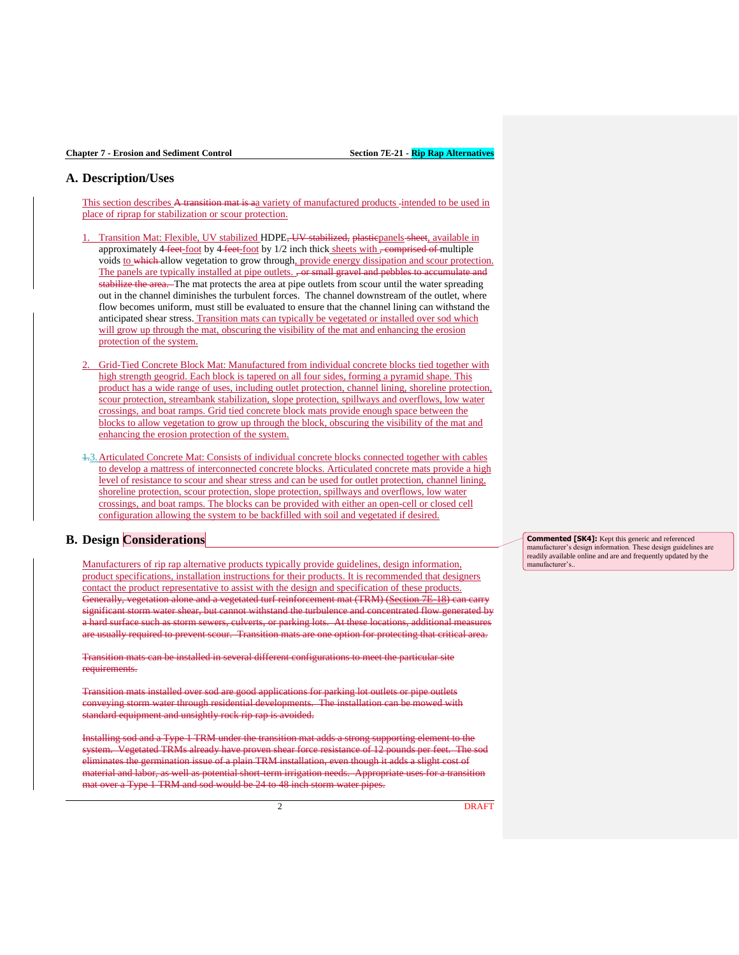## **A. Description/Uses**

This section describes A transition mat is aa variety of manufactured products -intended to be used in place of riprap for stabilization or scour protection.

- Transition Mat: Flexible, UV stabilized HDPE<del>, UV stabilized, plastic</del>panels sheet, available in approximately  $4$  feet-foot by  $4$  feet-foot by  $1/2$  inch thick sheets with <del>, comprised of multiple</del> voids to which allow vegetation to grow through, provide energy dissipation and scour protection. The panels are typically installed at pipe outlets., or small gravel and pebbles to accumulate and stabilize the area. The mat protects the area at pipe outlets from scour until the water spreading out in the channel diminishes the turbulent forces. The channel downstream of the outlet, where flow becomes uniform, must still be evaluated to ensure that the channel lining can withstand the anticipated shear stress. Transition mats can typically be vegetated or installed over sod which will grow up through the mat, obscuring the visibility of the mat and enhancing the erosion protection of the system.
- 2. Grid-Tied Concrete Block Mat: Manufactured from individual concrete blocks tied together with high strength geogrid. Each block is tapered on all four sides, forming a pyramid shape. This product has a wide range of uses, including outlet protection, channel lining, shoreline protection, scour protection, streambank stabilization, slope protection, spillways and overflows, low water crossings, and boat ramps. Grid tied concrete block mats provide enough space between the blocks to allow vegetation to grow up through the block, obscuring the visibility of the mat and enhancing the erosion protection of the system.
- 1.3.Articulated Concrete Mat: Consists of individual concrete blocks connected together with cables to develop a mattress of interconnected concrete blocks. Articulated concrete mats provide a high level of resistance to scour and shear stress and can be used for outlet protection, channel lining, shoreline protection, scour protection, slope protection, spillways and overflows, low water crossings, and boat ramps. The blocks can be provided with either an open-cell or closed cell configuration allowing the system to be backfilled with soil and vegetated if desired.

### **B. Design Considerations**

Manufacturers of rip rap alternative products typically provide guidelines, design information, product specifications, installation instructions for their products. It is recommended that designers contact the product representative to assist with the design and specification of these products. Generally, vegetation alone and a vegetated turf reinforcement mat (TRM) (Section 7E-18) can carry significant storm water shear, but cannot withstand the turbulence and concentrated flow generated by a hard surface such as storm sewers, culverts, or parking lots. At these locations, additional measures are usually required to prevent scour. Transition mats are one option for protecting that critical area.

Transition mats can be installed in several different configurations to meet the particular site requirements.

Transition mats installed over sod are good applications for parking lot outlets or pipe outlets conveying storm water through residential developments. The installation can be mowed with standard equipment and unsightly rock rip rap is avoided.

Installing sod and a Type 1 TRM under the transition mat adds a strong supporting element to the system. Vegetated TRMs already have proven shear force resistance of 12 pounds per feet. The sod eliminates the germination issue of a plain TRM installation, even though it adds a slight cost of material and labor, as well as potential short-term irrigation needs. Appropriate uses for a transition mat over a Type 1 TRM and sod would be 24 to 48 inch storm water pipes.

**Commented [SK4]:** Kept this generic and referenced manufacturer's design information. These design guidelines are readily available online and are and frequently updated by the manufacturer's..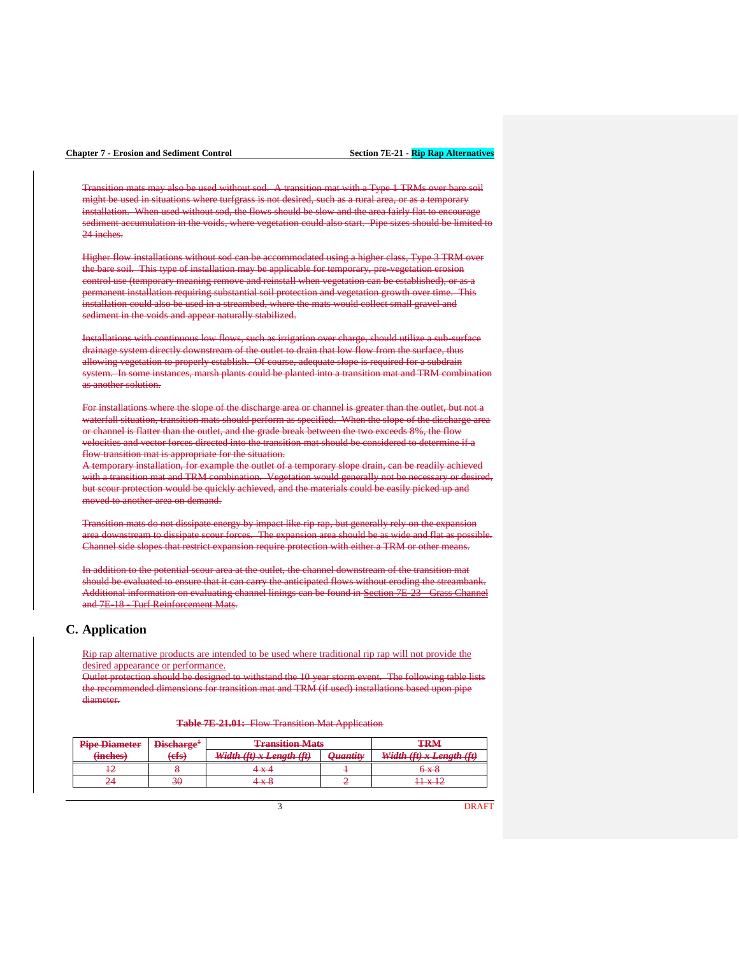## **Chapter 7 - Erosion and Sediment Control Section 7E-21 - Rip Rap Alternatives**

Transition mats may also be used without sod. A transition mat with a Type 1 TRMs over bare soil might be used in situations where turfgrass is not desired, such as a rural area, or as a temporary installation. When used without sod, the flows should be slow and the area fairly flat to encourage sediment accumulation in the voids, where vegetation could also start. Pipe sizes should be limited to 24 inches.

Higher flow installations without sod can be accommodated using a higher class, Type 3 TRM over the bare soil. This type of installation may be applicable for temporary, pre-vegetation erosion control use (temporary meaning remove and reinstall when vegetation can be established), or as a permanent installation requiring substantial soil protection and vegetation growth over time. This installation could also be used in a streambed, where the mats would collect small gravel and sediment in the voids and appear naturally stabilized.

Installations with continuous low flows, such as irrigation over charge, should utilize a sub-surface drainage system directly downstream of the outlet to drain that low flow from the surface, thus allowing vegetation to properly establish. Of course, adequate slope is required for a subdrain system. In some instances, marsh plants could be planted into a transition mat and TRM combination as another solution.

For installations where the slope of the discharge area or channel is greater than the outlet, but not a waterfall situation, transition mats should perform as specified. When the slope of the discharge area or channel is flatter than the outlet, and the grade break between the two exceeds 8%, the flow velocities and vector forces directed into the transition mat should be considered to determine if a flow transition mat is appropriate for the situation.

A temporary installation, for example the outlet of a temporary slope drain, can be readily achieved with a transition mat and TRM combination. Vegetation would generally not be necessary or desired, but scour protection would be quickly achieved, and the materials could be easily picked up and moved to another area on demand.

Transition mats do not dissipate energy by impact like rip rap, but generally rely on the expansion area downstream to dissipate scour forces. The expansion area should be as wide and flat as possible. Channel side slopes that restrict expansion require protection with either a TRM or other means.

In addition to the potential scour area at the outlet, the channel downstream of the transition mat should be evaluated to ensure that it can carry the anticipated flows without eroding the streambank. Additional information on evaluating channel linings can be found in Section 7E-23 - Grass Channel and **7E-18** Turf Reinforcement Mats.

### **C. Application**

Rip rap alternative products are intended to be used where traditional rip rap will not provide the desired appearance or performance.

Outlet protection should be designed to withstand the 10 year storm event. The following table lists the recommended dimensions for transition mat and TRM (if used) installations based upon pipe diameter.

**Table 7E-21.01:** Flow Transition Mat Application

| <b>Pipe Diameter</b> | Discharge <sup>+</sup> | <b>Transition Mats</b>                                        |                                                        | <b>TRM</b>                                 |
|----------------------|------------------------|---------------------------------------------------------------|--------------------------------------------------------|--------------------------------------------|
| (inches)             | (efs)                  | Width $(f) \cdot I$ anoth $(f)$<br>11 MM - 11 MM - 2011-01-12 | <i><u><b>Ouantity</b></u></i><br>$\sigma$ and restrict | Width $(f) \times I$ anoth $(f)$           |
|                      |                        | 4 x 4                                                         |                                                        | <del>6 x 8</del>                           |
|                      | 30                     | ∔—x                                                           |                                                        | 11 - 10<br>$\mathbf{1}$ , and $\mathbf{1}$ |